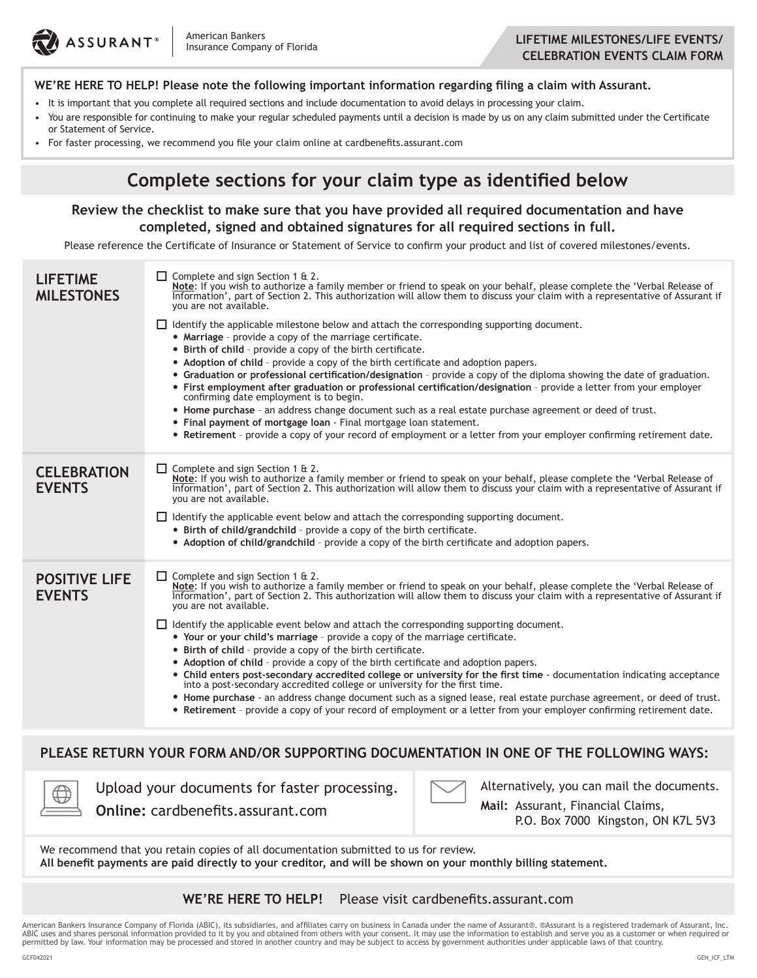

#### **WE'RE HERE TO HELP! Please note the following important information regarding filing a claim with Assurant.**

- It is important that you complete all required sections and include documentation to avoid delays in processing your claim.
- You are responsible for continuing to make your regular scheduled payments until a decision is made by us on any claim submitted under the Certificate or Statement of Service.
- For faster processing, we recommend you file your claim online at cardbenefits.assurant.com

## **Complete sections for your claim type as identified below**

#### **Review the checklist to make sure that you have provided all required documentation and have completed, signed and obtained signatures for all required sections in full.**

Please reference the Certificate of Insurance or Statement of Service to confirm your product and list of covered milestones/events.

| <b>LIFETIME</b><br><b>MILESTONES</b>                                                                                                                                                                              | $\Box$ Complete and sign Section 1 & 2.<br>Note: If you wish to authorize a family member or friend to speak on your behalf, please complete the 'Verbal Release of<br>Information', part of Section 2. This authorization will allow them to discuss your claim with a representative of Assurant if<br>you are not available.<br>$\Box$ Identify the applicable milestone below and attach the corresponding supporting document.<br>• Marriage - provide a copy of the marriage certificate.<br>• Birth of child - provide a copy of the birth certificate.<br>• Adoption of child - provide a copy of the birth certificate and adoption papers.<br>• Graduation or professional certification/designation - provide a copy of the diploma showing the date of graduation.<br>• First employment after graduation or professional certification/designation - provide a letter from your employer<br>confirming date employment is to begin.<br>• Home purchase - an address change document such as a real estate purchase agreement or deed of trust.<br>• Final payment of mortgage loan - Final mortgage loan statement.<br>• Retirement - provide a copy of your record of employment or a letter from your employer confirming retirement date. |  |  |  |  |  |  |  |
|-------------------------------------------------------------------------------------------------------------------------------------------------------------------------------------------------------------------|-----------------------------------------------------------------------------------------------------------------------------------------------------------------------------------------------------------------------------------------------------------------------------------------------------------------------------------------------------------------------------------------------------------------------------------------------------------------------------------------------------------------------------------------------------------------------------------------------------------------------------------------------------------------------------------------------------------------------------------------------------------------------------------------------------------------------------------------------------------------------------------------------------------------------------------------------------------------------------------------------------------------------------------------------------------------------------------------------------------------------------------------------------------------------------------------------------------------------------------------------------------|--|--|--|--|--|--|--|
| <b>CELEBRATION</b><br><b>EVENTS</b>                                                                                                                                                                               | $\Box$ Complete and sign Section 1 & 2.<br>Note: If you wish to authorize a family member or friend to speak on your behalf, please complete the 'Verbal Release of<br>Information', part of Section 2. This authorization will allow them to discuss your claim with a repr<br>you are not available.<br>$\Box$ Identify the applicable event below and attach the corresponding supporting document.<br>• Birth of child/grandchild - provide a copy of the birth certificate.<br>• Adoption of child/grandchild - provide a copy of the birth certificate and adoption papers.                                                                                                                                                                                                                                                                                                                                                                                                                                                                                                                                                                                                                                                                         |  |  |  |  |  |  |  |
| <b>POSITIVE LIFE</b><br><b>EVENTS</b>                                                                                                                                                                             | $\Box$ Complete and sign Section 1 & 2.<br>Note: If you wish to authorize a family member or friend to speak on your behalf, please complete the 'Verbal Release of<br>Information', part of Section 2. This authorization will allow them to discuss your claim with a representative of Assurant if<br>you are not available.<br>$\Box$ Identify the applicable event below and attach the corresponding supporting document.<br>• Your or your child's marriage - provide a copy of the marriage certificate.<br>• Birth of child - provide a copy of the birth certificate.<br>• Adoption of child - provide a copy of the birth certificate and adoption papers.<br>• Child enters post-secondary accredited college or university for the first time - documentation indicating acceptance<br>into a post-secondary accredited college or university for the first time.<br>• Home purchase - an address change document such as a signed lease, real estate purchase agreement, or deed of trust.<br>• Retirement - provide a copy of your record of employment or a letter from your employer confirming retirement date.                                                                                                                         |  |  |  |  |  |  |  |
| PLEASE RETURN YOUR FORM AND/OR SUPPORTING DOCUMENTATION IN ONE OF THE FOLLOWING WAYS:                                                                                                                             |                                                                                                                                                                                                                                                                                                                                                                                                                                                                                                                                                                                                                                                                                                                                                                                                                                                                                                                                                                                                                                                                                                                                                                                                                                                           |  |  |  |  |  |  |  |
| Alternatively, you can mail the documents.<br>Upload your documents for faster processing.<br>Mail: Assurant, Financial Claims,<br><b>Online:</b> cardbenefits.assurant.com<br>P.O. Box 7000 Kingston, ON K7L 5V3 |                                                                                                                                                                                                                                                                                                                                                                                                                                                                                                                                                                                                                                                                                                                                                                                                                                                                                                                                                                                                                                                                                                                                                                                                                                                           |  |  |  |  |  |  |  |
| We recommend that you retain copies of all documentation submitted to us for review.<br>All benefit payments are paid directly to your creditor, and will be shown on your monthly billing statement.             |                                                                                                                                                                                                                                                                                                                                                                                                                                                                                                                                                                                                                                                                                                                                                                                                                                                                                                                                                                                                                                                                                                                                                                                                                                                           |  |  |  |  |  |  |  |
| Please visit cardbenefits.assurant.com<br>WE'RE HERE TO HELP!                                                                                                                                                     |                                                                                                                                                                                                                                                                                                                                                                                                                                                                                                                                                                                                                                                                                                                                                                                                                                                                                                                                                                                                                                                                                                                                                                                                                                                           |  |  |  |  |  |  |  |

American Bankers Insurance Company of Florida (ABIC), its subsidiaries, and affiliates carry on business in Canada under the name of Assurant®. ®Assurant is a registered trademark of Assurant, Inc. ABIC uses and shares personal information provided to it by you and obtained from others with your consent. It may use the information to establish and serve you as a customer or when required or permitted by law. Your information may be processed and stored in another country and may be subject to access by government authorities under applicable laws of that country.